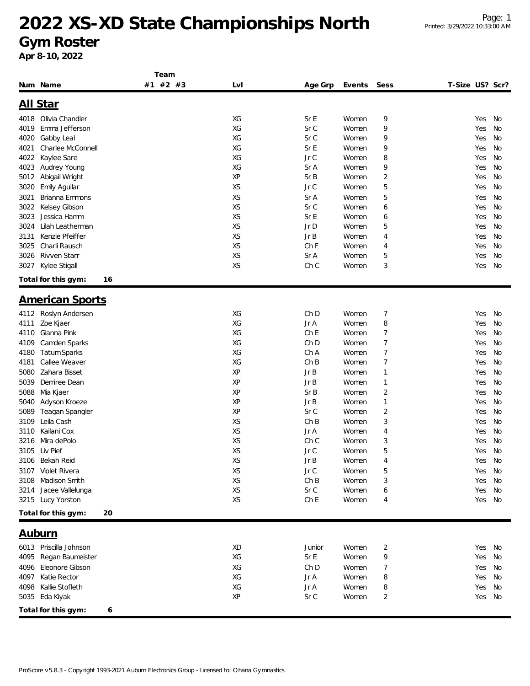#### **Gym Roster**

|                             | Team     |     |         |        |                |                 |    |
|-----------------------------|----------|-----|---------|--------|----------------|-----------------|----|
| Num Name                    | #1 #2 #3 | Lvl | Age Grp | Events | Sess           | T-Size US? Scr? |    |
|                             |          |     |         |        |                |                 |    |
| <u>All Star</u>             |          |     |         |        |                |                 |    |
| 4018 Olivia Chandler        |          | XG  | Sr E    | Women  | 9              | Yes             | No |
| Emma Jefferson<br>4019      |          | XG  | Sr C    | Women  | 9              | Yes             | No |
| 4020<br>Gabby Leal          |          | XG  | Sr C    | Women  | 9              | Yes             | No |
| Charlee McConnell<br>4021   |          | XG  | Sr E    | Women  | 9              | Yes             | No |
| 4022<br>Kaylee Sare         |          | XG  | Jr C    | Women  | 8              | Yes             | No |
| Audrey Young<br>4023        |          | XG  | Sr A    | Women  | 9              | Yes             | No |
| 5012<br>Abigail Wright      |          | XP  | Sr B    | Women  | 2              | Yes             | No |
| 3020<br>Emily Aguilar       |          | XS  | Jr C    | Women  | 5              | Yes             | No |
| Brianna Emmons<br>3021      |          | XS  | Sr A    | Women  | 5              | Yes             | No |
| Kelsey Gibson<br>3022       |          | XS  | Sr C    | Women  | 6              | Yes             | No |
| Jessica Hamm<br>3023        |          | XS  | Sr E    | Women  | 6              | Yes             | No |
| Lilah Leatherman<br>3024    |          | XS  | Jr D    | Women  | 5              | Yes             | No |
| Kenzie Pfeiffer<br>3131     |          | XS  | Jr B    | Women  | 4              | Yes             | No |
| Charli Rausch<br>3025       |          | XS  | Ch F    | Women  | 4              | Yes             | No |
| Rivven Starr<br>3026        |          | XS  | Sr A    | Women  | 5              | Yes             | No |
| Kylee Stigall<br>3027       |          | XS  | Ch C    | Women  | 3              | Yes             | No |
|                             |          |     |         |        |                |                 |    |
| Total for this gym:         | 16       |     |         |        |                |                 |    |
|                             |          |     |         |        |                |                 |    |
| <b>American Sports</b>      |          |     |         |        |                |                 |    |
| Roslyn Andersen<br>4112     |          | XG  | Ch D    | Women  | 7              | Yes             | No |
| Zoe Kjaer<br>4111           |          | XG  | Jr A    | Women  | 8              | Yes             | No |
| Gianna Pink<br>4110         |          | XG  | Ch E    | Women  | 7              | Yes             | No |
| Camden Sparks<br>4109       |          | XG  | Ch D    | Women  | 7              | Yes             | No |
| <b>Tatum Sparks</b><br>4180 |          | XG  | Ch A    | Women  | 7              | Yes             | No |
| Callee Weaver<br>4181       |          | XG  | ChB     | Women  | 7              | Yes             | No |
| Zahara Bisset<br>5080       |          | XP  | Jr B    | Women  | 1              | Yes             | No |
| 5039<br>Demiree Dean        |          | XP  | Jr B    | Women  | 1              | Yes             | No |
| 5088<br>Mia Kjaer           |          | XP  | Sr B    | Women  | $\overline{2}$ | Yes             | No |
| 5040<br>Adyson Kroeze       |          | XP  | Jr B    | Women  | 1              | Yes             | No |
| 5089<br>Teagan Spangler     |          | XP  | Sr C    | Women  | 2              | Yes             | No |
| Leila Cash<br>3109          |          | XS  | ChB     | Women  | 3              | Yes             | No |
| Kailani Cox<br>3110         |          | XS  | Jr A    | Women  | 4              | Yes             | No |
| Mira dePolo<br>3216         |          | XS  | Ch C    | Women  | 3              | Yes             | No |
| 3105 Liv Pief               |          | XS  | Jr C    | Women  | 5              | Yes             | No |
| Bekah Reid<br>3106          |          | XS  | Jr B    | Women  | 4              | Yes             | No |
| Violet Rivera<br>3107       |          | XS  | Jr C    | Women  | 5              | Yes             | No |
| Madison Smith<br>3108       |          | XS  | ChB     | Women  | 3              | Yes             | No |
| Jacee Vallelunga<br>3214    |          | XS  | Sr C    | Women  | 6              | Yes             | No |
| 3215 Lucy Yorston           |          | XS  | Ch E    | Women  | 4              | Yes             | No |
| Total for this gym:         | 20       |     |         |        |                |                 |    |
|                             |          |     |         |        |                |                 |    |
| <u>Auburn</u>               |          |     |         |        |                |                 |    |
|                             |          |     |         |        |                |                 |    |
| 6013 Priscilla Johnson      |          | XD  | Junior  | Women  | $\overline{c}$ | Yes             | No |
| 4095<br>Regan Baumeister    |          | XG  | SrE     | Women  | 9              | Yes             | No |
| Eleonore Gibson<br>4096     |          | XG  | Ch D    | Women  | 7              | Yes             | No |
| Katie Rector<br>4097        |          | XG  | Jr A    | Women  | 8              | Yes             | No |
| Kallie Stofleth<br>4098     |          | XG  | Jr A    | Women  | 8              | Yes             | No |
| 5035 Eda Kiyak              |          | XP  | Sr C    | Women  | 2              | Yes             | No |
| Total for this gym:         | 6        |     |         |        |                |                 |    |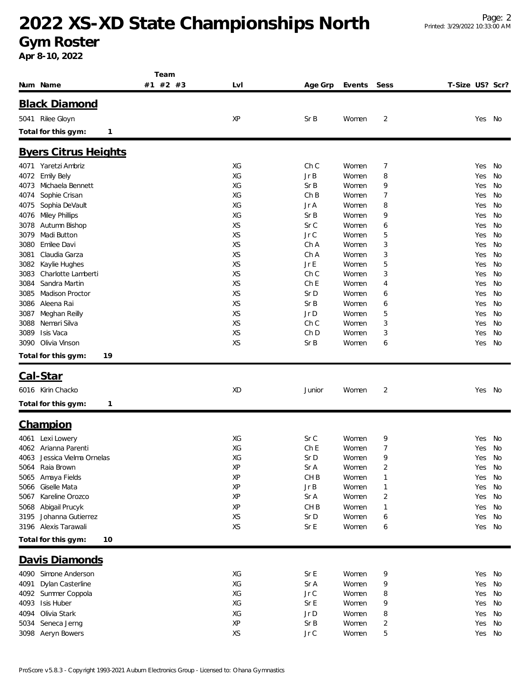**Gym Roster**

|                                | Team     |           |                 |        |                         |                 |        |    |
|--------------------------------|----------|-----------|-----------------|--------|-------------------------|-----------------|--------|----|
| Num Name                       | #1 #2 #3 | Lvl       | Age Grp         | Events | Sess                    | T-Size US? Scr? |        |    |
|                                |          |           |                 |        |                         |                 |        |    |
| <b>Black Diamond</b>           |          |           |                 |        |                         |                 |        |    |
| 5041 Rilee Gloyn               |          | XP        | SrB             | Women  | $\overline{2}$          |                 | Yes No |    |
| Total for this gym:<br>1       |          |           |                 |        |                         |                 |        |    |
| <b>Byers Citrus Heights</b>    |          |           |                 |        |                         |                 |        |    |
| 4071 Yaretzi Ambriz            |          | XG        | Ch C            | Women  | 7                       |                 | Yes    | No |
| <b>Emily Bely</b><br>4072      |          | XG        | Jr B            | Women  | 8                       |                 | Yes    | No |
| Michaela Bennett<br>4073       |          | ХG        | SrB             | Women  | 9                       |                 | Yes    | No |
| Sophie Crisan<br>4074          |          | XG        | ChB             | Women  | 7                       |                 | Yes    | No |
| Sophia DeVault<br>4075         |          | XG        | Jr A            | Women  | 8                       |                 | Yes    | No |
| <b>Miley Phillips</b><br>4076  |          | ХG        | SrB             | Women  | 9                       |                 | Yes    | No |
| 3078<br>Autumn Bishop          |          | XS        | Sr C            | Women  | 6                       |                 | Yes    | No |
| 3079<br>Madi Button            |          | <b>XS</b> | Jr C            | Women  | 5                       |                 | Yes    | No |
| 3080<br>Emilee Davi            |          | XS        | Ch A            | Women  | 3                       |                 | Yes    | No |
| Claudia Garza<br>3081          |          | <b>XS</b> | Ch A            | Women  | 3                       |                 | Yes    | No |
| Kaylie Hughes<br>3082          |          | XS        | Jr E            | Women  | 5                       |                 | Yes    | No |
| Charlotte Lamberti<br>3083     |          | XS        | Ch C            | Women  | 3                       |                 | Yes    | No |
| Sandra Martin<br>3084          |          | XS        | ChE             | Women  | 4                       |                 | Yes    | No |
| <b>Madison Proctor</b><br>3085 |          | <b>XS</b> | Sr D            | Women  | 6                       |                 | Yes    | No |
| Aleena Rai<br>3086             |          | <b>XS</b> | SrB             | Women  | 6                       |                 | Yes    | No |
| Meghan Reilly<br>3087          |          | XS        | Jr D            | Women  | 5                       |                 | Yes    | No |
| 3088<br>Nemari Silva           |          | <b>XS</b> | Ch C            | Women  | 3                       |                 | Yes    | No |
| Isis Vaca<br>3089              |          | XS        | Ch D            | Women  | 3                       |                 | Yes    | No |
| Olivia Vinson<br>3090          |          | XS        | Sr B            | Women  | 6                       |                 | Yes    | No |
| Total for this gym:<br>19      |          |           |                 |        |                         |                 |        |    |
| Cal-Star                       |          |           |                 |        |                         |                 |        |    |
| 6016 Kirin Chacko              |          | XD        | Junior          | Women  | 2                       |                 | Yes No |    |
| Total for this gym:<br>1       |          |           |                 |        |                         |                 |        |    |
| Champion                       |          |           |                 |        |                         |                 |        |    |
| 4061 Lexi Lowery               |          | XG        | Sr C            | Women  | 9                       |                 | Yes    | No |
| 4062 Arianna Parenti           |          | XG        | Ch <sub>E</sub> | Women  | 7                       |                 | Yes    | No |
| 4063 Jessica Vielma Ornelas    |          | XG        | Sr D            | Women  | o                       |                 | Yes No |    |
| 5064 Raia Brown                |          | XP        | Sr A            | Women  | $\overline{\mathbf{c}}$ |                 | Yes    | No |
| Amaya Fields<br>5065           |          | XP        | CH <sub>B</sub> | Women  | 1                       |                 | Yes    | No |
| Giselle Mata<br>5066           |          | XP        | Jr B            | Women  | 1                       |                 | Yes    | No |
| Kareline Orozco<br>5067        |          | XP        | Sr A            | Women  | 2                       |                 | Yes    | No |
| Abigail Prucyk<br>5068         |          | XP        | CH <sub>B</sub> | Women  | 1                       |                 | Yes    | No |
| Johanna Gutierrez<br>3195      |          | XS        | Sr D            | Women  | 6                       |                 | Yes    | No |
| Alexis Tarawali<br>3196        |          | XS        | Sr E            | Women  | 6                       |                 | Yes    | No |
| Total for this gym:<br>10      |          |           |                 |        |                         |                 |        |    |
| Davis Diamonds                 |          |           |                 |        |                         |                 |        |    |
| 4090 Simone Anderson           |          | XG        | Sr E            | Women  | 9                       |                 | Yes    | No |
| Dylan Casterline<br>4091       |          | XG        | Sr A            | Women  | 9                       |                 | Yes    | No |
| Summer Coppola<br>4092         |          | XG        | Jr C            | Women  | 8                       |                 | Yes    | No |
| 4093<br>Isis Huber             |          | XG        | Sr E            | Women  | 9                       |                 | Yes    | No |
| Olivia Stark<br>4094           |          | XG        | Jr D            | Women  | 8                       |                 | Yes    | No |
| Seneca Jerng<br>5034           |          | XP        | Sr B            | Women  | 2                       |                 | Yes    | No |
| 3098 Aeryn Bowers              |          | XS        | Jr C            | Women  | 5                       |                 | Yes No |    |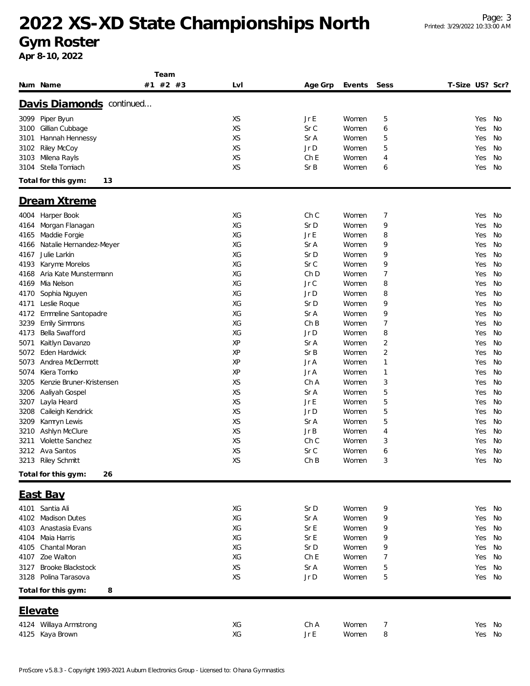**Gym Roster**

|      |                           | Team     |           |                 |        |      |                 |        |    |
|------|---------------------------|----------|-----------|-----------------|--------|------|-----------------|--------|----|
|      | Num Name                  | #1 #2 #3 | Lvl       | Age Grp         | Events | Sess | T-Size US? Scr? |        |    |
|      |                           |          |           |                 |        |      |                 |        |    |
|      | Davis Diamonds continued  |          |           |                 |        |      |                 |        |    |
|      | 3099 Piper Byun           |          | XS        | Jr E            | Women  | 5    |                 | Yes    | No |
| 3100 | Gillian Cubbage           |          | XS        | Sr C            | Women  | 6    |                 | Yes    | No |
| 3101 | Hannah Hennessy           |          | XS        | Sr A            | Women  | 5    |                 | Yes    | No |
| 3102 | Riley McCoy               |          | <b>XS</b> | Jr D            | Women  | 5    |                 | Yes    | No |
| 3103 | Milena Rayls              |          | XS        | Ch <sub>E</sub> | Women  | 4    |                 | Yes    | No |
| 3104 | Stella Tomiach            |          | <b>XS</b> | Sr B            | Women  | 6    |                 | Yes    | No |
|      | Total for this gym:<br>13 |          |           |                 |        |      |                 |        |    |
|      | Dream Xtreme              |          |           |                 |        |      |                 |        |    |
| 4004 | Harper Book               |          | ХG        | Ch C            | Women  | 7    |                 | Yes    | No |
| 4164 | Morgan Flanagan           |          | XG        | Sr D            | Women  | 9    |                 | Yes    | No |
| 4165 | Maddie Forgie             |          | XG        | Jr E            | Women  | 8    |                 | Yes    | No |
| 4166 | Natalie Hernandez-Meyer   |          | XG        | Sr A            | Women  | 9    |                 | Yes    | No |
| 4167 | Julie Larkin              |          | XG        | Sr D            | Women  | 9    |                 | Yes    | No |
| 4193 | Karyme Morelos            |          | XG        | Sr C            | Women  | 9    |                 | Yes    | No |
| 4168 | Aria Kate Munstermann     |          | XG        | Ch D            | Women  | 7    |                 | Yes    | No |
| 4169 | Mia Nelson                |          | XG        | Jr C            | Women  | 8    |                 | Yes    | No |
| 4170 | Sophia Nguyen             |          | XG        | Jr D            | Women  | 8    |                 | Yes    | No |
| 4171 | Leslie Roque              |          | XG        | Sr D            | Women  | 9    |                 | Yes    | No |
| 4172 | Emmeline Santopadre       |          | XG        | Sr A            | Women  | 9    |                 | Yes    | No |
| 3239 | <b>Emily Simmons</b>      |          | XG        | ChB             | Women  | 7    |                 | Yes    | No |
| 4173 | Bella Swafford            |          | XG        | Jr D            | Women  | 8    |                 | Yes    | No |
| 5071 | Kaitlyn Davanzo           |          | XP        | Sr A            | Women  | 2    |                 | Yes    | No |
| 5072 | Eden Hardwick             |          | XP        | Sr B            | Women  | 2    |                 | Yes    | No |
| 5073 | Andrea McDermott          |          | XP        | Jr A            | Women  | 1    |                 | Yes    | No |
| 5074 | Kiera Tomko               |          | XP        | Jr A            | Women  | 1    |                 | Yes    | No |
| 3205 | Kenzie Bruner-Kristensen  |          | XS        | Ch A            | Women  | 3    |                 | Yes    | No |
| 3206 | Aaliyah Gospel            |          | XS        | Sr A            | Women  | 5    |                 | Yes    | No |
| 3207 | Layla Heard               |          | XS        | Jr E            | Women  | 5    |                 | Yes    | No |
| 3208 | Caileigh Kendrick         |          | XS        | Jr D            | Women  | 5    |                 | Yes    | No |
| 3209 | Kamryn Lewis              |          | XS        | Sr A            | Women  | 5    |                 | Yes    | No |
| 3210 | Ashlyn McClure            |          | XS        | Jr B            | Women  | 4    |                 | Yes    | No |
| 3211 | Violette Sanchez          |          | XS        | Ch C            | Women  | 3    |                 | Yes    | No |
|      | 3212 Ava Santos           |          | <b>XS</b> | Sr C            | Women  | 6    |                 | Yes    | No |
|      | 3213 Riley Schmitt        |          | XS        | ChB             | Women  | 3    |                 | Yes No |    |
|      | Total for this gym:<br>26 |          |           |                 |        |      |                 |        |    |
|      |                           |          |           |                 |        |      |                 |        |    |
|      | East Bay                  |          |           |                 |        |      |                 |        |    |
|      | 4101 Santia Ali           |          | XG        | Sr D            | Women  | 9    |                 | Yes No |    |
| 4102 | <b>Madison Dutes</b>      |          | XG        | Sr A            | Women  | 9    |                 | Yes    | No |
| 4103 | Anastasia Evans           |          | XG        | Sr E            | Women  | 9    |                 | Yes    | No |
| 4104 | Maia Harris               |          | XG        | Sr E            | Women  | 9    |                 | Yes    | No |
| 4105 | Chantal Moran             |          | XG        | Sr D            | Women  | 9    |                 | Yes    | No |
| 4107 | Zoe Walton                |          | ХG        | Ch <sub>E</sub> | Women  | 7    |                 | Yes    | No |
| 3127 | <b>Brooke Blackstock</b>  |          | XS        | Sr A            | Women  | 5    |                 | Yes    | No |
| 3128 | Polina Tarasova           |          | XS        | Jr D            | Women  | 5    |                 | Yes    | No |
|      | Total for this gym:<br>8  |          |           |                 |        |      |                 |        |    |
|      | Elevate                   |          |           |                 |        |      |                 |        |    |
|      | 4124 Willaya Armstrong    |          | XG        | Ch A            | Women  | 7    |                 | Yes    | No |
|      | 4125 Kaya Brown           |          | XG        | $Jr \mathsf{E}$ | Women  | 8    |                 | Yes No |    |
|      |                           |          |           |                 |        |      |                 |        |    |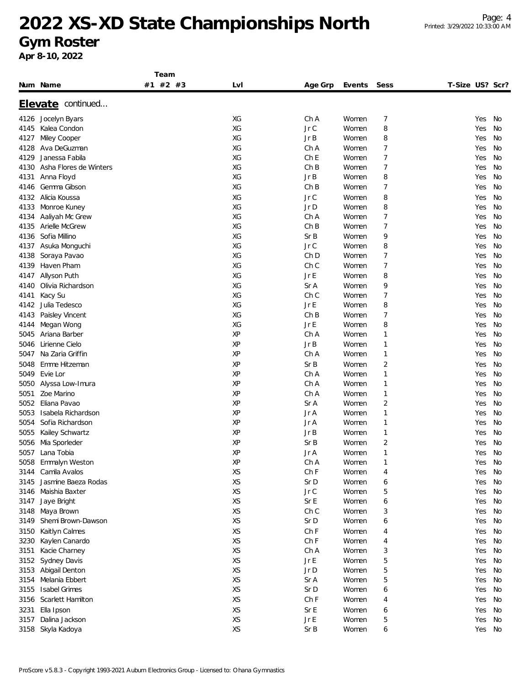#### **Gym Roster**

|              |                              | Team     |          |                 |                |                |                 |    |
|--------------|------------------------------|----------|----------|-----------------|----------------|----------------|-----------------|----|
|              | Num Name                     | #1 #2 #3 | LvI      | Age Grp         | Events         | Sess           | T-Size US? Scr? |    |
|              | Elevate continued            |          |          |                 |                |                |                 |    |
|              | Jocelyn Byars                |          | ХG       | Ch A            | Women          | 7              | Yes             | No |
| 4126         |                              |          | XG       | Jr C            | Women          | 8              | Yes             | No |
| 4145         | Kalea Condon                 |          | XG       | Jr B            | Women          | 8              | Yes             | No |
| 4127         | Miley Cooper<br>Ava DeGuzman |          | XG       | Ch A            |                |                |                 | No |
| 4128<br>4129 | Janessa Fabila               |          | XG       | Ch <sub>E</sub> | Women          | 7              | Yes             |    |
|              |                              |          |          |                 | Women          | 7              | Yes             | No |
| 4130         | Asha Flores de Winters       |          | ХG<br>ХG | ChB<br>Jr B     | Women<br>Women | 7              | Yes             | No |
| 4131         | Anna Floyd<br>Gemma Gibson   |          | ХG       | ChB             |                | 8<br>7         | Yes             | No |
| 4146         |                              |          |          |                 | Women          |                | Yes             | No |
| 4132         | Alicia Koussa                |          | ХG       | Jr C            | Women          | 8              | Yes             | No |
| 4133         | Monroe Kuney                 |          | XG       | Jr D            | Women          | 8              | Yes             | No |
| 4134         | Aaliyah Mc Grew              |          | XG       | Ch A            | Women          | 7              | Yes             | No |
| 4135         | Arielle McGrew               |          | XG       | ChB             | Women          | 7              | Yes             | No |
| 4136         | Sofia Millino                |          | XG       | SrB             | Women          | 9              | Yes             | No |
| 4137         | Asuka Monguchi               |          | XG       | Jr C            | Women          | 8              | Yes             | No |
| 4138         | Soraya Pavao                 |          | ХG       | Ch D            | Women          | 7              | Yes             | No |
| 4139         | Haven Pham                   |          | XG       | Ch C            | Women          | 7              | Yes             | No |
| 4147         | Allyson Puth                 |          | XG       | Jr E            | Women          | 8              | Yes             | No |
| 4140         | Olivia Richardson            |          | ХG       | Sr A            | Women          | 9              | Yes             | No |
| 4141         | Kacy Su                      |          | XG       | Ch C            | Women          | $\overline{7}$ | Yes             | No |
| 4142         | Julia Tedesco                |          | XG       | Jr E            | Women          | 8              | Yes             | No |
| 4143         | Paisley Vincent              |          | XG       | ChB             | Women          | $\overline{7}$ | Yes             | No |
| 4144         | Megan Wong                   |          | XG       | Jr E            | Women          | 8              | Yes             | No |
| 5045         | Ariana Barber                |          | XP       | Ch A            | Women          | 1              | Yes             | No |
| 5046         | Lirienne Cielo               |          | XP       | Jr B            | Women          | 1              | Yes             | No |
| 5047         | Na Zaria Griffin             |          | XP       | Ch A            | Women          | 1              | Yes             | No |
| 5048         | Emme Hitzeman                |          | XP       | Sr B            | Women          | 2              | Yes             | No |
| 5049         | Evie Lor                     |          | XP       | Ch A            | Women          | 1              | Yes             | No |
| 5050         | Alyssa Low-Imura             |          | XP       | Ch A            | Women          | 1              | Yes             | No |
| 5051         | Zoe Marino                   |          | XP       | Ch A            | Women          | 1              | Yes             | No |
| 5052         | Eliana Pavao                 |          | XP       | Sr A            | Women          | 2              | Yes             | No |
| 5053         | Isabela Richardson           |          | XP       | Jr A            | Women          | 1              | Yes             | No |
| 5054         | Sofia Richardson             |          | XP       | Jr A            | Women          | 1              | Yes             | No |
| 5055         | Kailey Schwartz              |          | XP       | Jr B            | Women          | 1              | Yes             | No |
| 5056         | Mia Sporleder                |          | XP       | SrB             | Women          | 2              | Yes             | No |
| 5057         | Lana Tobia                   |          | XP       | Jr A            | Women          | 1              | Yes             | No |
| 5058         | Emmalyn Weston               |          | XP       | Ch A            | Women          | 1              | Yes             | No |
| 3144         | Camila Avalos                |          | XS       | ChF             | Women          | 4              | Yes             | No |
| 3145         | Jasmine Baeza Rodas          |          | XS       | Sr D            | Women          | 6              | Yes             | No |
| 3146         | Maishia Baxter               |          | XS       | $JrC$           | Women          | 5              | Yes             | No |
| 3147         | Jaye Bright                  |          | XS       | Sr E            | Women          | 6              | Yes             | No |
| 3148         | Maya Brown                   |          | XS       | Ch C            | Women          | 3              | Yes             | No |
| 3149         | Shemi Brown-Dawson           |          | XS       | Sr D            | Women          | 6              | Yes             | No |
| 3150         | Kaitlyn Calmes               |          | XS       | ChF             | Women          | 4              | Yes             | No |
| 3230         | Kaylen Canardo               |          | XS       | ChF             | Women          | 4              | Yes             | No |
| 3151         | Kacie Charney                |          | XS       | Ch A            | Women          | 3              | Yes             | No |
| 3152         | Sydney Davis                 |          | XS       | Jr E            | Women          | 5              | Yes             | No |
| 3153         | Abigail Denton               |          | XS       | Jr D            | Women          | 5              | Yes             | No |
| 3154         | Melania Ebbert               |          | XS       | Sr A            | Women          | 5              | Yes             | No |
| 3155         | <b>Isabel Grimes</b>         |          | XS       | Sr D            | Women          | 6              | Yes             | No |
| 3156         | Scarlett Hamilton            |          | XS       | ChF             | Women          | 4              | Yes             | No |
| 3231         | Ella Ipson                   |          | XS       | Sr E            | Women          | 6              | Yes             | No |
| 3157         | Dalina Jackson               |          | XS       | Jr E            | Women          | 5              | Yes             | No |
|              | 3158 Skyla Kadoya            |          | XS       | Sr B            | Women          | 6              | Yes             | No |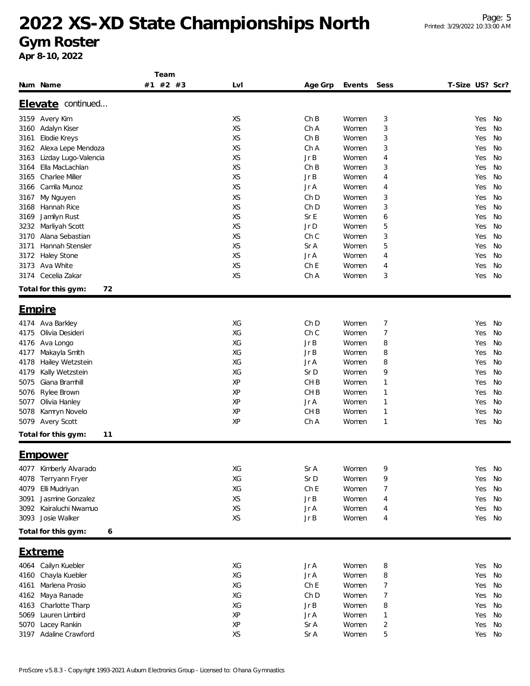#### **Gym Roster**

|                               | Team     |           |                 |                   |              |                 |    |  |
|-------------------------------|----------|-----------|-----------------|-------------------|--------------|-----------------|----|--|
| Num Name                      | #1 #2 #3 | Lvl       |                 | Age Grp<br>Events | Sess         | T-Size US? Scr? |    |  |
|                               |          |           |                 |                   |              |                 |    |  |
| Elevate continued             |          |           |                 |                   |              |                 |    |  |
| 3159 Avery Kim                |          | XS        | ChB             | Women             | 3            | Yes             | No |  |
| Adalyn Kiser<br>3160          |          | <b>XS</b> | Ch A            | Women             | 3            | Yes             | No |  |
| Elodie Kreys<br>3161          |          | XS        | ChB             | Women             | 3            | Yes             | No |  |
| Alexa Lepe Mendoza<br>3162    |          | <b>XS</b> | Ch A            | Women             | 3            | Yes             | No |  |
| Lizday Lugo-Valencia<br>3163  |          | XS        | Jr B            | Women             | 4            | Yes             | No |  |
| Ella MacLachlan<br>3164       |          | <b>XS</b> | ChB             | Women             | 3            | Yes             | No |  |
| Charlee Miller<br>3165        |          | XS        | Jr B            | Women             | 4            | Yes             | No |  |
| Camila Munoz<br>3166          |          | XS        | Jr A            | Women             | 4            | Yes             | No |  |
| My Nguyen<br>3167             |          | XS        | Ch D            | Women             | 3            | Yes             | No |  |
| Hannah Rice<br>3168           |          | XS        | Ch D            | Women             | 3            | Yes             | No |  |
| Jamilyn Rust<br>3169          |          | XS        | Sr E            | Women             | 6            | Yes             | No |  |
| 3232<br>Marliyah Scott        |          | XS        | $Jr$ $D$        | Women             | 5            | Yes             | No |  |
| Alana Sebastian<br>3170       |          | XS        | Ch C            | Women             | 3            | Yes             | No |  |
| Hannah Stensler<br>3171       |          | XS        | Sr A            | Women             | 5            | Yes             | No |  |
| Haley Stone<br>3172           |          | XS        | Jr A            | Women             | 4            | Yes             | No |  |
| 3173<br>Ava White             |          | XS        | Ch <sub>E</sub> | Women             | 4            | Yes             | No |  |
| Cecelia Zakar<br>3174         |          | XS        | Ch A            | Women             | 3            | Yes             | No |  |
|                               |          |           |                 |                   |              |                 |    |  |
| 72<br>Total for this gym:     |          |           |                 |                   |              |                 |    |  |
| <u>Empire</u>                 |          |           |                 |                   |              |                 |    |  |
| 4174 Ava Barkley              |          | XG        | Ch D            | Women             | 7            | Yes             | No |  |
| Olivia Desideri<br>4175       |          | XG        | Ch C            | Women             | 7            | Yes             | No |  |
| Ava Longo                     |          | XG        | Jr B            | Women             | 8            | Yes             | No |  |
| 4176<br>Makayla Smith<br>4177 |          | XG        | Jr B            | Women             | 8            | Yes             | No |  |
|                               |          | XG        | Jr A            | Women             | 8            | Yes             | No |  |
| 4178<br>Hailey Wetzstein      |          | XG        | Sr D            |                   | 9            | Yes             | No |  |
| Kally Wetzstein<br>4179       |          |           |                 | Women             |              |                 |    |  |
| Giana Bramhill<br>5075        |          | XP        | CH <sub>B</sub> | Women             | $\mathbf{1}$ | Yes             | No |  |
| Rylee Brown<br>5076           |          | XP        | CH <sub>B</sub> | Women             | $\mathbf{1}$ | Yes             | No |  |
| Olivia Hanley<br>5077         |          | ΧP        | Jr A            | Women             | $\mathbf{1}$ | Yes             | No |  |
| 5078<br>Kamryn Novelo         |          | XP        | CH <sub>B</sub> | Women             | 1            | Yes             | No |  |
| 5079<br><b>Avery Scott</b>    |          | XP        | Ch A            | Women             | 1            | Yes             | No |  |
| Total for this gym:<br>11     |          |           |                 |                   |              |                 |    |  |
| <u>Empower</u>                |          |           |                 |                   |              |                 |    |  |
|                               |          |           |                 |                   |              |                 |    |  |
| Kimberly Alvarado<br>4077     |          | XG        | Sr A            | Women             | 9            | Yes             | No |  |
| Terryann Fryer<br>4078        |          | XG        | Sr D            | Women             | 9            | Yes             | No |  |
| Elli Mudriyan<br>4079         |          | XG        | Ch <sub>E</sub> | Women             | 7            | Yes             | No |  |
| Jasmine Gonzalez<br>3091      |          | XS        | JrB             | Women             | 4            | Yes             | No |  |
| 3092 Kairaluchi Nwamuo        |          | XS        | Jr A            | Women             | 4            | Yes             | No |  |
| 3093 Josie Walker             |          | XS        | JrB             | Women             | 4            | Yes             | No |  |
| Total for this gym:<br>6      |          |           |                 |                   |              |                 |    |  |
|                               |          |           |                 |                   |              |                 |    |  |
| <u>Extreme</u>                |          |           |                 |                   |              |                 |    |  |
| 4064 Cailyn Kuebler           |          | XG        | Jr A            | Women             | 8            | Yes             | No |  |
| Chayla Kuebler<br>4160        |          | XG        | Jr A            | Women             | 8            | Yes             | No |  |
| Marlena Prosio<br>4161        |          | XG        | Ch E            | Women             | 7            | Yes             | No |  |
| Maya Ranade<br>4162           |          | XG        | Ch D            | Women             | 7            | Yes             | No |  |
| Charlotte Tharp<br>4163       |          | XG        | JrB             | Women             | 8            | Yes             | No |  |
| Lauren Limbird<br>5069        |          | ΧP        | Jr A            | Women             | 1            | Yes             | No |  |
| Lacey Rankin<br>5070          |          | XP        | Sr A            | Women             | 2            | Yes             | No |  |
| Adaline Crawford<br>3197      |          | XS        | Sr A            | Women             | 5            | Yes             | No |  |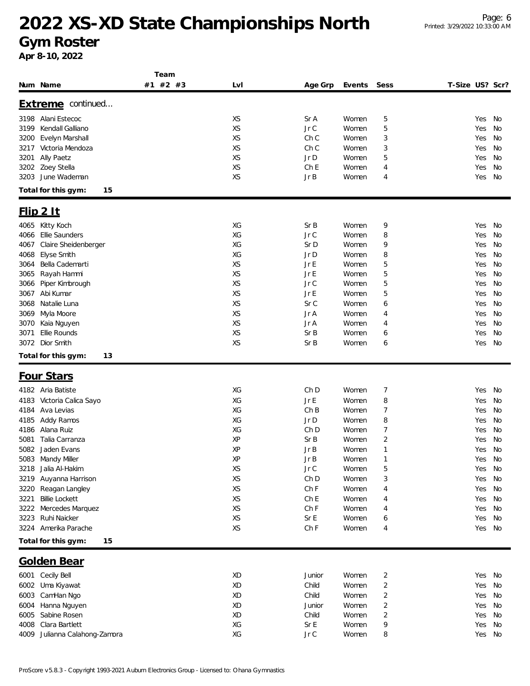**Gym Roster**

|                                  | Team     |           |         |        |                |                 |        |    |
|----------------------------------|----------|-----------|---------|--------|----------------|-----------------|--------|----|
| Num Name                         | #1 #2 #3 | LvI       | Age Grp | Events | Sess           | T-Size US? Scr? |        |    |
|                                  |          |           |         |        |                |                 |        |    |
| Extreme continued                |          |           |         |        |                |                 |        |    |
| Alani Estecoc<br>3198            |          | XS        | Sr A    | Women  | 5              | Yes             |        | No |
| Kendall Galliano<br>3199         |          | XS        | JrC     | Women  | 5              | Yes             |        | No |
| Evelyn Marshall<br>3200          |          | XS        | Ch C    | Women  | 3              | Yes             |        | No |
| Victoria Mendoza<br>3217         |          | XS        | Ch C    | Women  | 3              | Yes             |        | No |
| Ally Paetz<br>3201               |          | XS        | Jr D    | Women  | 5              | Yes             |        | No |
| Zoey Stella<br>3202              |          | XS        | Ch E    | Women  | 4              | Yes             |        | No |
| June Wademan<br>3203             |          | <b>XS</b> | JrB     | Women  | 4              | Yes             |        | No |
| Total for this gym:<br>15        |          |           |         |        |                |                 |        |    |
|                                  |          |           |         |        |                |                 |        |    |
| $F$ lip 2 It                     |          |           |         |        |                |                 |        |    |
| Kitty Koch<br>4065               |          | XG        | Sr B    | Women  | 9              | Yes             |        | No |
| Ellie Saunders<br>4066           |          | XG        | Jr C    | Women  | 8              | Yes             |        | No |
| Claire Sheidenberger<br>4067     |          | XG        | Sr D    | Women  | 9              | Yes             |        | No |
| Elyse Smith<br>4068              |          | XG        | Jr D    | Women  | 8              | Yes             |        | No |
| Bella Cademarti<br>3064          |          | XS        | Jr E    | Women  | 5              | Yes             |        | No |
| Rayah Hammi<br>3065              |          | XS        | Jr E    | Women  | 5              | Yes             |        | No |
| Piper Kimbrough<br>3066          |          | XS        | Jr C    | Women  | 5              | Yes             |        | No |
| Abi Kumar<br>3067                |          | <b>XS</b> | Jr E    | Women  | 5              | Yes             |        | No |
| Natalie Luna<br>3068             |          | XS        | Sr C    | Women  | 6              | Yes             |        | No |
| Myla Moore<br>3069               |          | XS        | Jr A    | Women  | 4              | Yes             |        | No |
|                                  |          | XS        |         |        |                |                 |        | No |
| 3070<br>Kaia Nguyen              |          |           | Jr A    | Women  | 4              | Yes             |        |    |
| Ellie Rounds<br>3071             |          | XS        | Sr B    | Women  | 6              | Yes             |        | No |
| Dior Smith<br>3072               |          | XS        | SrB     | Women  | 6              | Yes             |        | No |
| Total for this gym:<br>13        |          |           |         |        |                |                 |        |    |
| <b>Four Stars</b>                |          |           |         |        |                |                 |        |    |
| 4182 Aria Batiste                |          | XG        | Ch D    | Women  |                | Yes             |        | No |
|                                  |          |           |         |        | 7              |                 |        |    |
| Victoria Calica Sayo<br>4183     |          | XG        | Jr E    | Women  | 8              | Yes             |        | No |
| Ava Levias<br>4184               |          | XG        | ChB     | Women  | 7              | Yes             |        | No |
| Addy Ramos<br>4185               |          | XG        | Jr D    | Women  | 8              | Yes             |        | No |
| Alana Ruiz<br>4186               |          | ХG        | Ch D    | Women  | 7              | Yes             |        | No |
| Talia Carranza<br>5081           |          | XP        | Sr B    | Women  | 2              | Yes             |        | No |
| 5082 Jaden Evans                 |          | XP        | Jr B    | Women  | 1              |                 | Yes No |    |
| 5083 Mandy Miller                |          | ΧP        | JrB     | Women  | 1              |                 | Yes No |    |
| Jalia Al-Hakim<br>3218           |          | XS        | Jr C    | Women  | 5              | Yes             |        | No |
| Auyanna Harrison<br>3219         |          | XS        | Ch D    | Women  | 3              | Yes             |        | No |
| Reagan Langley<br>3220           |          | XS        | Ch F    | Women  | 4              | Yes             |        | No |
| <b>Billie Lockett</b><br>3221    |          | XS        | Ch E    | Women  | 4              | Yes             |        | No |
| Mercedes Marquez<br>3222         |          | XS        | Ch F    | Women  | 4              | Yes             |        | No |
| Ruhi Naicker<br>3223             |          | XS        | Sr E    | Women  | 6              | Yes             |        | No |
| Amerika Parache<br>3224          |          | XS        | Ch F    | Women  | 4              |                 | Yes No |    |
| Total for this gym:<br>15        |          |           |         |        |                |                 |        |    |
|                                  |          |           |         |        |                |                 |        |    |
| <b>Golden Bear</b>               |          |           |         |        |                |                 |        |    |
| 6001 Cecily Bell                 |          | XD        | Junior  | Women  | 2              |                 | Yes No |    |
| 6002<br>Uma Kiyawat              |          | XD        | Child   | Women  | $\overline{c}$ | Yes             |        | No |
| 6003<br>CamHan Ngo               |          | XD        | Child   | Women  | 2              | Yes             |        | No |
| Hanna Nguyen<br>6004             |          | XD        | Junior  | Women  | 2              | Yes             |        | No |
| Sabine Rosen<br>6005             |          | XD        | Child   | Women  | $\overline{c}$ | Yes             |        | No |
| Clara Bartlett<br>4008           |          | XG        | SrE     | Women  | 9              | Yes             |        | No |
| Julianna Calahong-Zamora<br>4009 |          | XG        | Jr C    | Women  | 8              | Yes             |        | No |
|                                  |          |           |         |        |                |                 |        |    |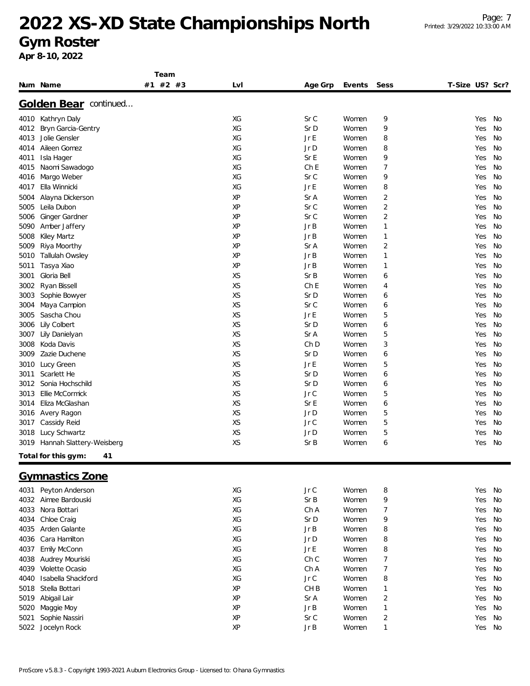#### **Gym Roster**

|      |                           | Team     |           |                 |        |                         |                 |           |
|------|---------------------------|----------|-----------|-----------------|--------|-------------------------|-----------------|-----------|
|      | Num Name                  | #1 #2 #3 | Lvl       | Age Grp         | Events | Sess                    | T-Size US? Scr? |           |
|      |                           |          |           |                 |        |                         |                 |           |
|      | Golden Bear continued     |          |           |                 |        |                         |                 |           |
|      | 4010 Kathryn Daly         |          | XG        | Sr C            | Women  | 9                       | Yes             | No        |
| 4012 | Bryn Garcia-Gentry        |          | XG        | Sr D            | Women  | 9                       | Yes             | No        |
| 4013 | Jolie Gensler             |          | XG        | Jr E            | Women  | 8                       | Yes             | No        |
| 4014 | Aileen Gomez              |          | XG        | Jr D            | Women  | 8                       | Yes             | No        |
| 4011 | Isla Hager                |          | XG        | Sr E            | Women  | 9                       | Yes             | No        |
| 4015 | Naomi Sawadogo            |          | XG        | ChE             | Women  | 7                       | Yes             | No        |
| 4016 | Margo Weber               |          | XG        | Sr C            | Women  | 9                       | Yes             | No        |
| 4017 | Ella Winnicki             |          | XG        | Jr E            | Women  | 8                       | Yes             | No        |
| 5004 | Alayna Dickerson          |          | XP        | Sr A            | Women  | 2                       | Yes             | No        |
| 5005 | Leila Dubon               |          | XP        | Sr C            | Women  | $\overline{2}$          | Yes             | No        |
| 5006 | Ginger Gardner            |          | XP        | Sr C            | Women  | $\overline{2}$          | Yes             | No        |
| 5090 | Amber Jaffery             |          | XP        | Jr B            | Women  | 1                       | Yes             | No        |
| 5008 | Kiley Martz               |          | XP        | JrB             | Women  | 1                       | Yes             | No        |
| 5009 | Riya Moorthy              |          | XP        | Sr A            | Women  | 2                       | Yes             | No        |
| 5010 | <b>Tallulah Owsley</b>    |          | XP        | Jr B            | Women  | 1                       | Yes             | No        |
| 5011 | Tasya Xiao                |          | XP        | Jr B            | Women  | 1                       | Yes             | No        |
| 3001 | Gloria Bell               |          | <b>XS</b> | SrB             | Women  | 6                       | Yes             | No        |
| 3002 | Ryan Bissell              |          | XS        | ChE             | Women  | 4                       | Yes             | No        |
| 3003 | Sophie Bowyer             |          | <b>XS</b> | Sr D            | Women  | 6                       | Yes             | No        |
| 3004 | Maya Campion              |          | XS        | Sr C            | Women  | 6                       | Yes             | No        |
| 3005 | Sascha Chou               |          | <b>XS</b> | Jr E            | Women  | 5                       | Yes             | No        |
| 3006 | Lily Colbert              |          | XS        | Sr D            | Women  | 6                       | Yes             | No        |
| 3007 | Lily Danielyan            |          | <b>XS</b> | Sr A            | Women  | 5                       | Yes             | No        |
| 3008 | Koda Davis                |          | XS        | Ch <sub>D</sub> | Women  | 3                       | Yes             | No        |
| 3009 | Zazie Duchene             |          | XS        | Sr D            | Women  | 6                       | Yes             | No        |
| 3010 | Lucy Green                |          | XS        | Jr E            | Women  | 5                       | Yes             | No        |
| 3011 | Scarlett He               |          | XS        | Sr D            | Women  | 6                       | Yes             | No        |
| 3012 | Sonia Hochschild          |          | XS        | Sr D            | Women  | 6                       | Yes             | No        |
| 3013 | Ellie McCormick           |          | XS        | Jr C            | Women  | 5                       | Yes             | No        |
| 3014 | Eliza McGlashan           |          | XS        | Sr E            | Women  | 6                       | Yes             | No        |
| 3016 | Avery Ragon               |          | XS        | Jr D            | Women  | 5                       | Yes             | No        |
| 3017 | Cassidy Reid              |          | XS        | Jr C            | Women  | 5                       | Yes             | No        |
| 3018 | Lucy Schwartz             |          | XS        | Jr D            | Women  | 5                       | Yes             | No        |
| 3019 | Hannah Slattery-Weisberg  |          | XS        | Sr B            | Women  | 6                       | Yes             | No        |
|      | Total for this gym:<br>41 |          |           |                 |        |                         |                 |           |
|      |                           |          |           |                 |        |                         |                 |           |
|      | <b>Gymnastics Zone</b>    |          |           |                 |        |                         |                 |           |
| 4031 | Peyton Anderson           |          | XG        | Jr C            | Women  | 8                       | Yes             | No        |
| 4032 | Aimee Bardouski           |          | XG        | Sr B            | Women  | 9                       | Yes             | <b>No</b> |
| 4033 | Nora Bottari              |          | XG        | Ch A            | Women  | 7                       | Yes             | No        |
| 4034 | Chloe Craig               |          | XG        | Sr D            | Women  | 9                       | Yes             | No        |
| 4035 | Arden Galante             |          | XG        | Jr B            | Women  | 8                       | Yes             | No        |
| 4036 | Cara Hamilton             |          | XG        | Jr D            | Women  | 8                       | Yes             | No        |
| 4037 | Emily McConn              |          | XG        | Jr E            | Women  | 8                       | Yes             | No        |
| 4038 | Audrey Mouriski           |          | XG        | Ch C            | Women  | 7                       | Yes             | No        |
| 4039 | Violette Ocasio           |          | XG        | Ch A            | Women  | 7                       | Yes             | No        |
| 4040 | Isabella Shackford        |          | XG        | Jr C            | Women  | 8                       | Yes             | No        |
| 5018 | Stella Bottari            |          | XP        | CH <sub>B</sub> | Women  | 1                       | Yes             | No        |
| 5019 | Abigail Lair              |          | XP        | Sr A            | Women  | $\overline{\mathbf{c}}$ | Yes             | No        |
| 5020 | Maggie Moy                |          | XP        | Jr B            | Women  | 1                       | Yes             | No        |
| 5021 | Sophie Nassiri            |          | XP        | Sr C            | Women  | $\overline{2}$          | Yes             | No        |
|      | 5022 Jocelyn Rock         |          | XP        | JrB             | Women  | 1                       | Yes             | No        |
|      |                           |          |           |                 |        |                         |                 |           |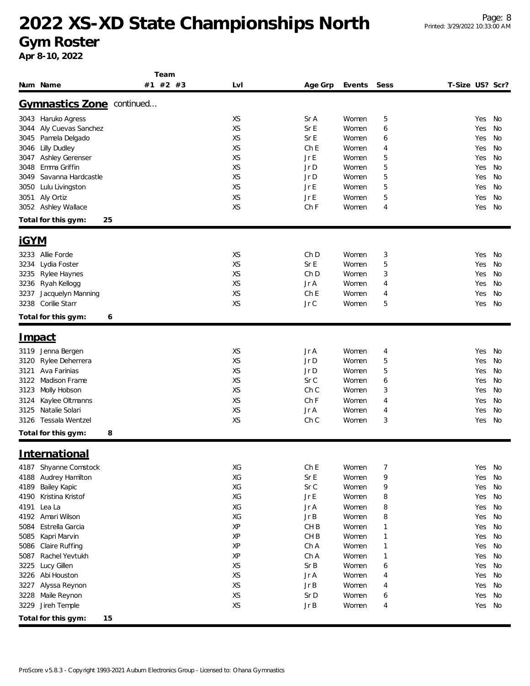**Gym Roster**

|                             | Team     |           |                 |        |              |                 |        |    |
|-----------------------------|----------|-----------|-----------------|--------|--------------|-----------------|--------|----|
| Num Name                    | #1 #2 #3 | Lvl       | Age Grp         | Events | Sess         | T-Size US? Scr? |        |    |
|                             |          |           |                 |        |              |                 |        |    |
| Gymnastics Zone continued   |          |           |                 |        |              |                 |        |    |
| 3043 Haruko Agress          |          | XS        | Sr A            | Women  | 5            |                 | Yes    | No |
| Aly Cuevas Sanchez<br>3044  |          | XS        | Sr E            | Women  | 6            |                 | Yes    | No |
| Pamela Delgado<br>3045      |          | XS        | Sr E            | Women  | 6            |                 | Yes    | No |
| <b>Lilly Dudley</b><br>3046 |          | XS        | Ch E            | Women  | 4            |                 | Yes    | No |
| Ashley Gerenser<br>3047     |          | <b>XS</b> | Jr E            | Women  | 5            |                 | Yes    | No |
| Emma Griffin<br>3048        |          | XS        | Jr D            | Women  | 5            |                 | Yes    | No |
| 3049<br>Savanna Hardcastle  |          | XS        | Jr D            | Women  | 5            |                 | Yes    | No |
| 3050<br>Lulu Livingston     |          | XS        | Jr E            | Women  | 5            |                 | Yes    | No |
| Aly Ortiz<br>3051           |          | XS        | Jr E            | Women  | 5            |                 | Yes    | No |
| 3052 Ashley Wallace         |          | XS        | Ch F            | Women  | 4            |                 | Yes    | No |
| 25<br>Total for this gym:   |          |           |                 |        |              |                 |        |    |
|                             |          |           |                 |        |              |                 |        |    |
| <u>iGYM</u>                 |          |           |                 |        |              |                 |        |    |
| 3233 Allie Forde            |          | XS        | Ch D            | Women  | 3            |                 | Yes    | No |
| Lydia Foster<br>3234        |          | XS        | Sr E            | Women  | 5            |                 | Yes    | No |
| Rylee Haynes<br>3235        |          | XS        | Ch D            | Women  | 3            |                 | Yes    | No |
| Ryah Kellogg<br>3236        |          | XS        | Jr A            | Women  | 4            |                 | Yes    | No |
| Jacquelyn Manning<br>3237   |          | XS        | Ch E            | Women  | 4            |                 | Yes    | No |
| Corilie Starr<br>3238       |          | XS        | Jr C            | Women  | 5            |                 | Yes    | No |
| Total for this gym:<br>6    |          |           |                 |        |              |                 |        |    |
|                             |          |           |                 |        |              |                 |        |    |
| <u>Impact</u>               |          |           |                 |        |              |                 |        |    |
| Jenna Bergen<br>3119        |          | XS        | Jr A            | Women  | 4            |                 | Yes    | No |
| Rylee Deherrera<br>3120     |          | XS        | Jr D            | Women  | 5            |                 | Yes    | No |
| Ava Farinias<br>3121        |          | XS        | Jr D            | Women  | 5            |                 | Yes    | No |
| Madison Frame<br>3122       |          | XS        | Sr C            | Women  | 6            |                 | Yes    | No |
| Molly Hobson<br>3123        |          | XS        | Ch C            | Women  | 3            |                 | Yes    | No |
| Kaylee Oltmanns<br>3124     |          | XS        | Ch F            | Women  | 4            |                 | Yes    | No |
| Natalie Solari<br>3125      |          | XS        | Jr A            | Women  | 4            |                 | Yes    | No |
| Tessala Wentzel<br>3126     |          | XS        | Ch C            | Women  | 3            |                 | Yes    | No |
| Total for this gym:<br>8    |          |           |                 |        |              |                 |        |    |
|                             |          |           |                 |        |              |                 |        |    |
| <u>International</u>        |          |           |                 |        |              |                 |        |    |
| Shyanne Comstock<br>4187    |          | XG        | Ch E            | Women  | 7            |                 | Yes No |    |
| Audrey Hamilton<br>4188     |          | XG        | Sr E            | Women  | 9            |                 | Yes    | No |
| Bailey Kapic<br>4189        |          | XG        | Sr C            | Women  | 9            |                 | Yes    | No |
| Kristina Kristof<br>4190    |          | XG        | Jr E            | Women  | 8            |                 | Yes    | No |
| Lea La<br>4191              |          | XG        | Jr A            | Women  | 8            |                 | Yes    | No |
| Amari Wilson<br>4192        |          | XG        | Jr B            | Women  | 8            |                 | Yes    | No |
| Estrella Garcia<br>5084     |          | ΧP        | CH <sub>B</sub> | Women  | $\mathbf{1}$ |                 | Yes    | No |
| 5085<br>Kapri Marvin        |          | XP        | CH <sub>B</sub> | Women  | $\mathbf{1}$ |                 | Yes    | No |
| 5086<br>Claire Ruffing      |          | XP        | Ch A            | Women  | $\mathbf{1}$ |                 | Yes    | No |
| Rachel Yevtukh<br>5087      |          | XP        | Ch A            | Women  | $\mathbf{1}$ |                 | Yes    | No |
| Lucy Gillen<br>3225         |          | XS        | Sr B            | Women  | 6            |                 | Yes    | No |
| Abi Houston<br>3226         |          | XS        | Jr A            | Women  | 4            |                 | Yes    | No |
| Alyssa Reynon<br>3227       |          | XS        | JrB             | Women  | 4            |                 | Yes    | No |
| 3228<br>Maile Reynon        |          | XS        | Sr D            | Women  | 6            |                 | Yes    | No |
| Jireh Temple<br>3229        |          | XS        | JrB             | Women  | 4            |                 | Yes    | No |
|                             |          |           |                 |        |              |                 |        |    |
| Total for this gym:<br>15   |          |           |                 |        |              |                 |        |    |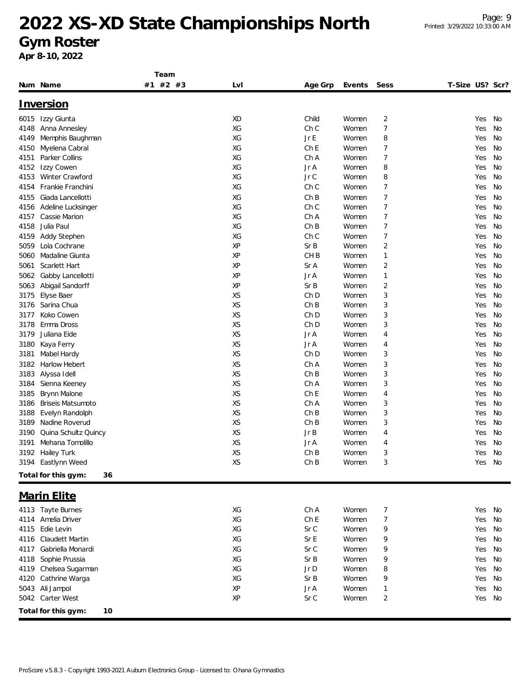### **Gym Roster**

|              |                                  | Team     |           |                         |                |                         |                 |          |
|--------------|----------------------------------|----------|-----------|-------------------------|----------------|-------------------------|-----------------|----------|
|              | Num Name                         | #1 #2 #3 | LvI       | Age Grp                 | Events         | Sess                    | T-Size US? Scr? |          |
|              | <u>Inversion</u>                 |          |           |                         |                |                         |                 |          |
|              |                                  |          |           |                         |                |                         |                 |          |
| 6015         | Izzy Giunta                      |          | <b>XD</b> | Child                   | Women          | $\overline{\mathbf{c}}$ | Yes             | No       |
| 4148         | Anna Annesley                    |          | XG        | Ch <sub>C</sub>         | Women          | 7                       | Yes             | No       |
| 4149         | Memphis Baughman                 |          | XG<br>XG  | Jr E<br>Ch <sub>E</sub> | Women          | 8                       | Yes             | No<br>No |
| 4150<br>4151 | Myelena Cabral<br>Parker Collins |          | XG        | Ch A                    | Women<br>Women | 7<br>7                  | Yes<br>Yes      | No       |
| 4152         | Izzy Cowen                       |          | ХG        | Jr A                    | Women          | 8                       | Yes             | No       |
| 4153         | <b>Winter Crawford</b>           |          | XG        | Jr C                    | Women          | 8                       | Yes             | No       |
| 4154         | Frankie Franchini                |          | ХG        | Ch C                    | Women          | 7                       | Yes             | No       |
| 4155         | Giada Lancellotti                |          | ХG        | ChB                     | Women          | 7                       | Yes             | No       |
| 4156         | Adeline Lucksinger               |          | XG        | Ch C                    | Women          | 7                       | Yes             | No       |
| 4157         | Cassie Marion                    |          | XG        | Ch A                    | Women          | $\overline{7}$          | Yes             | No       |
| 4158         | Julia Paul                       |          | XG        | ChB                     | Women          | 7                       | Yes             | No       |
| 4159         | Addy Stephen                     |          | XG        | Ch C                    | Women          | $\overline{7}$          | Yes             | No       |
| 5059         | Lola Cochrane                    |          | XP        | Sr B                    | Women          | 2                       | Yes             | No       |
| 5060         | Madaline Giunta                  |          | XP        | CH <sub>B</sub>         | Women          | 1                       | Yes             | No       |
| 5061         | Scarlett Hart                    |          | XP        | Sr A                    | Women          | 2                       | Yes             | No       |
| 5062         | Gabby Lancellotti                |          | XP        | Jr A                    | Women          | 1                       | Yes             | No       |
| 5063         | Abigail Sandorff                 |          | XP        | SrB                     | Women          | 2                       | Yes             | No       |
| 3175         | Elyse Baer                       |          | XS        | Ch D                    | Women          | 3                       | Yes             | No       |
| 3176         | Sarina Chua                      |          | XS        | ChB                     | Women          | 3                       | Yes             | No       |
| 3177         | Koko Cowen                       |          | XS        | Ch D                    | Women          | 3                       | Yes             | No       |
| 3178         | Emma Dross                       |          | XS        | Ch <sub>D</sub>         | Women          | 3                       | Yes             | No       |
| 3179         | Juliana Eide                     |          | XS        | Jr A                    | Women          | 4                       | Yes             | No       |
| 3180         | Kaya Ferry                       |          | XS        | Jr A                    | Women          | 4                       | Yes             | No       |
| 3181         | Mabel Hardy                      |          | XS        | Ch <sub>D</sub>         | Women          | 3                       | Yes             | No       |
| 3182         | Harlow Hebert                    |          | XS        | Ch A                    | Women          | 3                       | Yes             | No       |
| 3183         | Alyssa Idell                     |          | XS        | ChB                     | Women          | 3                       | Yes             | No       |
| 3184         | Sienna Keeney                    |          | XS        | Ch A                    | Women          | 3                       | Yes             | No       |
| 3185         | Brynn Malone                     |          | XS        | Ch E                    | Women          | 4                       | Yes             | No       |
| 3186         | <b>Briseis Matsumoto</b>         |          | XS        | Ch A                    | Women          | 3                       | Yes             | No       |
| 3188         | Evelyn Randolph                  |          | XS        | Ch B                    | Women          | 3                       | Yes             | No       |
| 3189         | Nadine Roverud                   |          | XS        | ChB                     | Women          | 3                       | Yes             | No       |
| 3190         | Quina Schultz Quincy             |          | XS        | Jr B                    | Women          | 4                       | Yes             | No       |
| 3191         | Mehana Tomolillo                 |          | XS        | Jr A                    | Women          | 4                       | Yes             | No       |
|              | 3192 Hailey Turk                 |          | XS        | ChB                     | Women          | 3                       | Yes             | No       |
|              | 3194 Eastlynn Weed               |          | XS        | Ch B                    | Women          | 3                       |                 | Yes No   |
|              | Total for this gym:<br>36        |          |           |                         |                |                         |                 |          |
|              |                                  |          |           |                         |                |                         |                 |          |
|              | <b>Marin Elite</b>               |          |           |                         |                |                         |                 |          |
|              | 4113 Tayte Burnes                |          | XG        | Ch A                    | Women          | $\overline{7}$          | Yes             | No       |
| 4114         | Amelia Driver                    |          | XG        | ChE                     | Women          | $\overline{7}$          | Yes             | No       |
| 4115         | Edie Levin                       |          | XG        | Sr C                    | Women          | 9                       | Yes             | No       |
|              | 4116 Claudett Martin             |          | XG        | Sr E                    | Women          | 9                       | Yes             | No       |
| 4117         | Gabriella Monardi                |          | XG        | Sr C                    | Women          | 9                       | Yes             | No       |
| 4118         | Sophie Prussia                   |          | XG        | Sr B                    | Women          | 9                       | Yes             | No       |
| 4119         | Chelsea Sugarman                 |          | XG        | Jr D                    | Women          | 8                       | Yes             | No       |
| 4120         | Cathrine Warga                   |          | XG        | Sr B                    | Women          | 9                       | Yes             | No       |
|              | 5043 Ali Jampol                  |          | XP        | Jr A                    | Women          | 1                       | Yes             | No       |
|              | 5042 Carter West                 |          | XP        | Sr C                    | Women          | 2                       | Yes             | No       |
|              | Total for this gym:<br>10        |          |           |                         |                |                         |                 |          |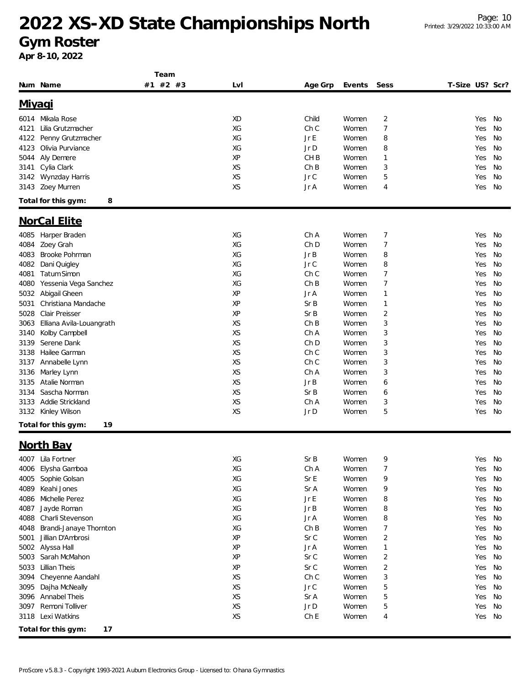**Gym Roster**

|      |                           | Team     |     |                 |        |                |                 |        |           |
|------|---------------------------|----------|-----|-----------------|--------|----------------|-----------------|--------|-----------|
|      | Num Name                  | #1 #2 #3 | LvI | Age Grp         | Events | Sess           | T-Size US? Scr? |        |           |
|      | <u>Miyaqi</u>             |          |     |                 |        |                |                 |        |           |
| 6014 | Mikala Rose               |          | XD  | Child           | Women  | $\overline{2}$ |                 | Yes    | No        |
|      |                           |          |     | Ch C            | Women  |                |                 |        |           |
| 4121 | Lilia Grutzmacher         |          | XG  |                 |        | $\overline{7}$ |                 | Yes    | No        |
| 4122 | Penny Grutzmacher         |          | XG  | Jr E            | Women  | 8              |                 | Yes    | No        |
| 4123 | Olivia Purviance          |          | XG  | Jr D            | Women  | 8              |                 | Yes    | No        |
| 5044 | Aly Demere                |          | XP  | CH <sub>B</sub> | Women  | $\mathbf{1}$   |                 | Yes    | No        |
| 3141 | Cylia Clark               |          | XS  | ChB             | Women  | 3              |                 | Yes    | No        |
| 3142 | Wynzday Harris            |          | XS  | Jr C            | Women  | 5              |                 | Yes    | No        |
| 3143 | Zoey Murren               |          | XS  | Jr A            | Women  | 4              |                 | Yes    | No        |
|      | 8<br>Total for this gym:  |          |     |                 |        |                |                 |        |           |
|      | <b>NorCal Elite</b>       |          |     |                 |        |                |                 |        |           |
| 4085 | Harper Braden             |          | XG  | Ch A            | Women  | 7              |                 | Yes    | No        |
| 4084 | Zoey Grah                 |          | XG  | Ch <sub>D</sub> | Women  | 7              |                 | Yes    | No        |
| 4083 | Brooke Pohrman            |          | XG  | Jr B            | Women  | 8              |                 | Yes    | <b>No</b> |
| 4082 | Dani Quigley              |          | XG  | Jr C            | Women  | 8              |                 | Yes    | No        |
| 4081 | Tatum Simon               |          | XG  | Ch C            | Women  | 7              |                 | Yes    | No        |
| 4080 | Yessenia Vega Sanchez     |          | XG  | ChB             | Women  | $\overline{7}$ |                 | Yes    | No        |
| 5032 | Abigail Gheen             |          | XP  | Jr A            | Women  | $\mathbf{1}$   |                 | Yes    | No        |
| 5031 | Christiana Mandache       |          | XP  | Sr B            |        |                |                 |        |           |
|      |                           |          |     |                 | Women  | $\mathbf{1}$   |                 | Yes    | No        |
| 5028 | Clair Preisser            |          | XP  | Sr B            | Women  | $\overline{2}$ |                 | Yes    | No        |
| 3063 | Elliana Avila-Louangrath  |          | XS  | ChB             | Women  | 3              |                 | Yes    | No        |
| 3140 | Kolby Campbell            |          | XS  | Ch A            | Women  | 3              |                 | Yes    | No        |
| 3139 | Serene Dank               |          | XS  | Ch D            | Women  | 3              |                 | Yes    | <b>No</b> |
| 3138 | Hailee Garman             |          | XS  | Ch C            | Women  | 3              |                 | Yes    | No        |
| 3137 | Annabelle Lynn            |          | XS  | Ch C            | Women  | 3              |                 | Yes    | No        |
| 3136 | Marley Lynn               |          | XS  | Ch A            | Women  | 3              |                 | Yes    | No        |
| 3135 | Atalie Norman             |          | XS  | JrB             | Women  | 6              |                 | Yes    | No        |
| 3134 | Sascha Norman             |          | XS  | Sr B            | Women  | 6              |                 | Yes    | No        |
| 3133 | Addie Strickland          |          | XS  | Ch A            | Women  | 3              |                 | Yes    | No        |
|      | 3132 Kinley Wilson        |          | XS  | Jr D            | Women  | 5              |                 | Yes    | No        |
|      | Total for this gym:<br>19 |          |     |                 |        |                |                 |        |           |
|      | <b>North Bay</b>          |          |     |                 |        |                |                 |        |           |
|      | 4007 Lila Fortner         |          | XG  | Sr B            | Women  | 9              |                 | Yes No |           |
| 4006 | Elysha Gamboa             |          | XG  | Ch A            | Women  | $\overline{7}$ |                 | Yes    | No        |
| 4005 | Sophie Golsan             |          | XG  | Sr E            | Women  | 9              |                 | Yes    | No        |
|      |                           |          |     |                 |        |                |                 |        |           |
| 4089 | Keahi Jones               |          | XG  | Sr A            | Women  | 9              |                 | Yes    | No        |
| 4086 | Michelle Perez            |          | XG  | Jr E            | Women  | 8              |                 | Yes    | No        |
| 4087 | Jayde Roman               |          | XG  | Jr B            | Women  | 8              |                 | Yes    | No        |
| 4088 | Charli Stevenson          |          | XG  | Jr A            | Women  | 8              |                 | Yes    | No        |
| 4048 | Brandi-Janaye Thornton    |          | XG  | ChB             | Women  | 7              |                 | Yes    | No        |
| 5001 | Jillian D'Ambrosi         |          | ΧP  | Sr C            | Women  | $\overline{2}$ |                 | Yes    | No        |
|      | 5002 Alyssa Hall          |          | XP  | Jr A            | Women  | $\mathbf{1}$   |                 | Yes    | No        |
| 5003 | Sarah McMahon             |          | XP  | Sr C            | Women  | 2              |                 | Yes    | No        |
| 5033 | Lillian Theis             |          | XP  | Sr C            | Women  | 2              |                 | Yes    | No        |
| 3094 | Cheyenne Aandahl          |          | XS  | Ch C            | Women  | 3              |                 | Yes    | No        |
| 3095 | Dajha McNeally            |          | XS  | Jr C            | Women  | 5              |                 | Yes    | No        |
| 3096 | Annabel Theis             |          | XS  | Sr A            | Women  | 5              |                 | Yes    | No        |
| 3097 | Remoni Tolliver           |          | XS  | Jr D            | Women  | 5              |                 | Yes    | No        |
| 3118 | Lexi Watkins              |          | XS  | Ch <sub>E</sub> | Women  | 4              |                 | Yes    | No        |
|      | Total for this gym:<br>17 |          |     |                 |        |                |                 |        |           |
|      |                           |          |     |                 |        |                |                 |        |           |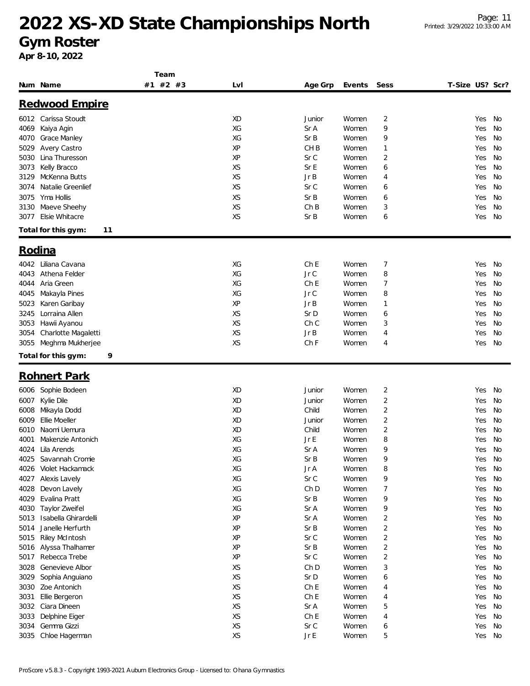#### **Gym Roster**

|        |                           | Team     |           |                 |        |                         |                 |        |    |
|--------|---------------------------|----------|-----------|-----------------|--------|-------------------------|-----------------|--------|----|
|        | Num Name                  | #1 #2 #3 | Lvl       | Age Grp         | Events | Sess                    | T-Size US? Scr? |        |    |
|        | Redwood Empire            |          |           |                 |        |                         |                 |        |    |
|        |                           |          |           |                 |        |                         |                 |        |    |
|        | 6012 Carissa Stoudt       |          | <b>XD</b> | Junior          | Women  | 2                       |                 | Yes    | No |
| 4069   | Kaiya Agin                |          | XG        | Sr A            | Women  | 9                       |                 | Yes    | No |
| 4070   | Grace Manley              |          | XG        | Sr B            | Women  | 9                       |                 | Yes    | No |
| 5029   | Avery Castro              |          | XP        | CH <sub>B</sub> | Women  | 1                       |                 | Yes    | No |
| 5030   | Lina Thuresson            |          | XP        | Sr C            | Women  | 2                       |                 | Yes    | No |
| 3073   | Kelly Bracco              |          | XS        | Sr E            | Women  | 6                       |                 | Yes    | No |
| 3129   | McKenna Butts             |          | XS        | JrB             | Women  | 4                       |                 | Yes    | No |
| 3074   | Natalie Greenlief         |          | XS        | Sr C            | Women  | 6                       |                 | Yes    | No |
| 3075   | Yma Hollis                |          | XS        | Sr B            | Women  | 6                       |                 | Yes    | No |
| 3130   | Maeve Sheehy              |          | XS        | ChB             | Women  | 3                       |                 | Yes    | No |
| 3077   | Elsie Whitacre            |          | XS        | SrB             | Women  | 6                       |                 | Yes    | No |
|        | Total for this gym:<br>11 |          |           |                 |        |                         |                 |        |    |
|        |                           |          |           |                 |        |                         |                 |        |    |
| Rodina |                           |          |           |                 |        |                         |                 |        |    |
|        | 4042 Liliana Cavana       |          | XG        | ChE             | Women  | 7                       |                 | Yes    | No |
| 4043   | Athena Felder             |          | XG        | JrC             | Women  | 8                       |                 | Yes    | No |
| 4044   | Aria Green                |          | XG        | ChE             | Women  | 7                       |                 | Yes    | No |
| 4045   | Makayla Pines             |          | XG        | Jr C            | Women  | 8                       |                 | Yes    | No |
| 5023   | Karen Garibay             |          | XP        | JrB             | Women  | 1                       |                 | Yes    | No |
| 3245   | Lorraina Allen            |          | XS        | Sr D            | Women  | 6                       |                 | Yes    | No |
| 3053   | Hawii Ayanou              |          | <b>XS</b> | Ch C            | Women  | 3                       |                 | Yes    | No |
| 3054   | Charlotte Magaletti       |          | XS        | JrB             | Women  | 4                       |                 | Yes    | No |
| 3055   | Meghma Mukherjee          |          | XS        | Ch F            | Women  | 4                       |                 | Yes    | No |
|        | Total for this gym:<br>9  |          |           |                 |        |                         |                 |        |    |
|        | <b>Rohnert Park</b>       |          |           |                 |        |                         |                 |        |    |
|        |                           |          |           |                 |        |                         |                 |        |    |
| 6006   | Sophie Bodeen             |          | XD        | Junior          | Women  | 2                       |                 | Yes    | No |
| 6007   | Kylie Dile                |          | XD        | Junior          | Women  | 2                       |                 | Yes    | No |
| 6008   | Mikayla Dodd              |          | XD        | Child           | Women  | 2                       |                 | Yes    | No |
| 6009   | Ellie Moeller             |          | <b>XD</b> | Junior          | Women  | 2                       |                 | Yes    | No |
| 6010   | Naomi Uemura              |          | XD        | Child           | Women  | 2                       |                 | Yes    | No |
| 4001   | Makenzie Antonich         |          | XG        | Jr E            | Women  | 8                       |                 | Yes    | No |
|        | 4024 Lila Arends          |          | XG        | Sr A            | Women  | 9                       |                 | Yes    | No |
|        | 4025 Savannah Cromie      |          | XG        | Sr B            | Women  | 9                       |                 | Yes No |    |
| 4026   | Violet Hackamack          |          | XG        | Jr A            | Women  | 8                       |                 | Yes    | No |
| 4027   | Alexis Lavely             |          | XG        | Sr C            | Women  | 9                       |                 | Yes    | No |
| 4028   | Devon Lavely              |          | XG        | Ch <sub>D</sub> | Women  | 7                       |                 | Yes    | No |
| 4029   | Evalina Pratt             |          | XG        | Sr B            | Women  | 9                       |                 | Yes    | No |
| 4030   | Taylor Zweifel            |          | XG        | Sr A            | Women  | 9                       |                 | Yes    | No |
| 5013   | Isabella Ghirardelli      |          | XP        | Sr A            | Women  | $\overline{\mathbf{c}}$ |                 | Yes    | No |
| 5014   | Janelle Herfurth          |          | XP        | Sr B            | Women  | 2                       |                 | Yes    | No |
| 5015   | <b>Riley McIntosh</b>     |          | XP        | Sr C            | Women  | $\sqrt{2}$              |                 | Yes    | No |
| 5016   | Alyssa Thalhamer          |          | XP        | Sr B            | Women  | $\overline{2}$          |                 | Yes    | No |
| 5017   | Rebecca Trebe             |          | XP        | Sr C            | Women  | $\overline{\mathbf{c}}$ |                 | Yes    | No |
| 3028   | Genevieve Albor           |          | XS        | Ch D            | Women  | 3                       |                 | Yes    | No |
| 3029   | Sophia Anguiano           |          | XS        | Sr D            | Women  | 6                       |                 | Yes    | No |
| 3030   | Zoe Antonich              |          | XS        | ChE             | Women  | 4                       |                 | Yes    | No |
| 3031   | Ellie Bergeron            |          | XS        | ChE             | Women  | 4                       |                 | Yes    | No |
| 3032   | Ciara Dineen              |          | XS        | Sr A            | Women  | 5                       |                 | Yes    | No |
| 3033   | Delphine Eiger            |          | XS        | Ch E            | Women  | 4                       |                 | Yes    | No |
| 3034   | Gemma Gizzi               |          | XS        | Sr C            | Women  | 6                       |                 | Yes    | No |
|        | 3035 Chloe Hagerman       |          | XS        | JrE             | Women  | 5                       |                 | Yes No |    |
|        |                           |          |           |                 |        |                         |                 |        |    |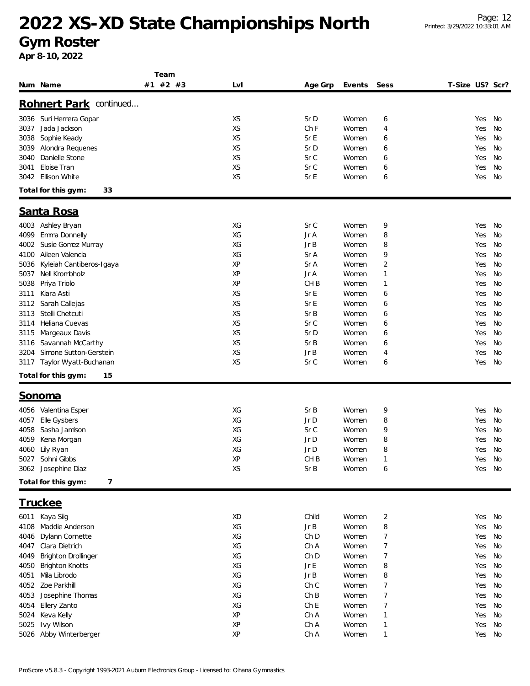**Gym Roster**

|                                    | Team     |           |                 |        |                |                 |        |    |
|------------------------------------|----------|-----------|-----------------|--------|----------------|-----------------|--------|----|
| Num Name                           | #1 #2 #3 | Lvl       | Age Grp         | Events | Sess           | T-Size US? Scr? |        |    |
|                                    |          |           |                 |        |                |                 |        |    |
| Rohnert Park continued             |          |           |                 |        |                |                 |        |    |
| 3036 Suri Herrera Gopar            |          | XS        | Sr D            | Women  | 6              |                 | Yes    | No |
| Jada Jackson<br>3037               |          | <b>XS</b> | Ch F            | Women  | $\overline{4}$ |                 | Yes    | No |
| 3038<br>Sophie Keady               |          | XS        | SrE             | Women  | 6              |                 | Yes    | No |
| 3039<br>Alondra Requenes           |          | <b>XS</b> | Sr D            | Women  | 6              |                 | Yes    | No |
| Danielle Stone<br>3040             |          | XS        | Sr C            | Women  | 6              |                 | Yes    | No |
| Eloise Tran<br>3041                |          | <b>XS</b> | Sr C            | Women  | 6              |                 | Yes    | No |
| Ellison White<br>3042              |          | XS        | Sr E            | Women  | 6              |                 | Yes    | No |
| 33<br>Total for this gym:          |          |           |                 |        |                |                 |        |    |
| Santa Rosa                         |          |           |                 |        |                |                 |        |    |
|                                    |          |           |                 |        |                |                 |        |    |
| 4003 Ashley Bryan                  |          | XG        | Sr C            | Women  | 9              |                 | Yes    | No |
| Emma Donnelly<br>4099              |          | XG        | Jr A            | Women  | 8              |                 | Yes    | No |
| Susie Gomez Murray<br>4002         |          | XG        | JrB             | Women  | 8              |                 | Yes    | No |
| Aileen Valencia<br>4100            |          | XG        | Sr A            | Women  | 9              |                 | Yes    | No |
| Kyleiah Cantiberos-Igaya<br>5036   |          | XP        | Sr A            | Women  | 2              |                 | Yes    | No |
| Nell Krombholz<br>5037             |          | XP        | Jr A            | Women  | $\mathbf{1}$   |                 | Yes    | No |
| Priya Triolo<br>5038               |          | XP        | CH <sub>B</sub> | Women  | $\mathbf{1}$   |                 | Yes    | No |
| Kiara Asti<br>3111                 |          | XS        | Sr E            | Women  | 6              |                 | Yes    | No |
| Sarah Callejas<br>3112             |          | XS        | Sr E            | Women  | 6              |                 | Yes    | No |
| Stelli Chetcuti<br>3113            |          | XS        | Sr B            | Women  | 6              |                 | Yes    | No |
| Heliana Cuevas<br>3114             |          | <b>XS</b> | Sr C            | Women  | 6              |                 | Yes    | No |
| Margeaux Davis<br>3115             |          | XS        | Sr D            | Women  | 6              |                 | Yes    | No |
| Savannah McCarthy<br>3116          |          | XS        | SrB             | Women  | 6              |                 | Yes    | No |
| Simone Sutton-Gerstein<br>3204     |          | XS        | JrB             | Women  | 4              |                 | Yes    | No |
| Taylor Wyatt-Buchanan<br>3117      |          | <b>XS</b> | Sr C            | Women  | 6              |                 | Yes    | No |
| Total for this gym:<br>15          |          |           |                 |        |                |                 |        |    |
| <u>Sonoma</u>                      |          |           |                 |        |                |                 |        |    |
| Valentina Esper<br>4056            |          | XG        | SrB             | Women  | 9              |                 | Yes    | No |
| Elle Gysbers<br>4057               |          | XG        | Jr D            | Women  | 8              |                 | Yes    | No |
| Sasha Jamison<br>4058              |          | XG        | Sr C            | Women  | 9              |                 | Yes    | No |
| Kena Morgan<br>4059                |          | XG        | Jr D            | Women  | 8              |                 | Yes    | No |
| 4060 Lily Ryan                     |          | XG        | Jr D            | Women  | 8              |                 | Yes    | No |
| 5027 Sohni Gibbs                   |          | ΧP        | CH <sub>B</sub> | Women  |                |                 | Yes No |    |
| 3062 Josephine Diaz                |          | XS        | Sr B            | Women  | 6              |                 | Yes No |    |
| Total for this gym:<br>7           |          |           |                 |        |                |                 |        |    |
|                                    |          |           |                 |        |                |                 |        |    |
| <u>Truckee</u>                     |          |           |                 |        |                |                 |        |    |
| Kaya Siig<br>6011                  |          | XD        | Child           | Women  | $\overline{c}$ |                 | Yes    | No |
| 4108 Maddie Anderson               |          | XG        | JrB             | Women  | 8              |                 | Yes    | No |
| Dylann Cornette<br>4046            |          | XG        | Ch D            | Women  | 7              |                 | Yes    | No |
| Clara Dietrich<br>4047             |          | XG        | Ch A            | Women  | 7              |                 | Yes    | No |
| <b>Brighton Drollinger</b><br>4049 |          | XG        | Ch D            | Women  | 7              |                 | Yes    | No |
| <b>Brighton Knotts</b><br>4050     |          | XG        | Jr E            | Women  | 8              |                 | Yes    | No |
| Mila Librodo<br>4051               |          | XG        | Jr B            | Women  | 8              |                 | Yes    | No |
| Zoe Parkhill<br>4052               |          | XG        | Ch C            | Women  | 7              |                 | Yes    | No |
| Josephine Thomas<br>4053           |          | XG        | ChB             | Women  | 7              |                 | Yes    | No |
| Ellery Zanto<br>4054               |          | XG        | Ch <sub>E</sub> | Women  | 7              |                 | Yes    | No |
| Keva Kelly<br>5024                 |          | ΧP        | Ch A            | Women  | $\mathbf{1}$   |                 | Yes    | No |
| Ivy Wilson<br>5025                 |          | XP        | Ch A            | Women  | $\mathbf{1}$   |                 | Yes    | No |
| 5026 Abby Winterberger             |          | XP        | Ch A            | Women  | $\mathbf{1}$   |                 | Yes    | No |
|                                    |          |           |                 |        |                |                 |        |    |